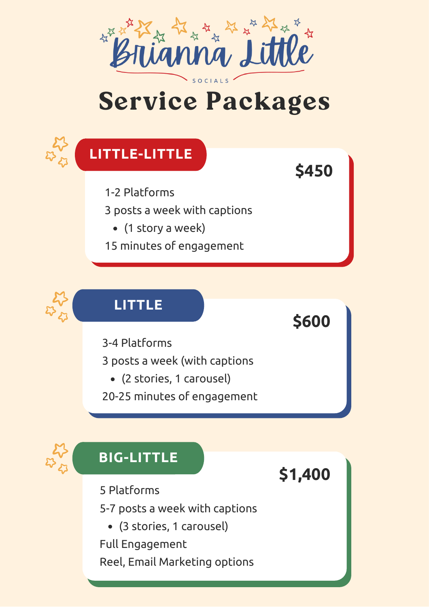

# Service Packages

**\$450**

**\$600**

**\$1,400**



1-2 Platforms

3 posts a week with captions

- (1 story a week)
- 15 minutes of engagement



#### **LITTLE**

3-4 Platforms

3 posts a week (with captions

- (2 stories, 1 carousel)
- 20-25 minutes of engagement



#### **BIG-LITTLE**

5 Platforms

5-7 posts a week with captions

(3 stories, 1 carousel)

Full Engagement

Reel, Email Marketing options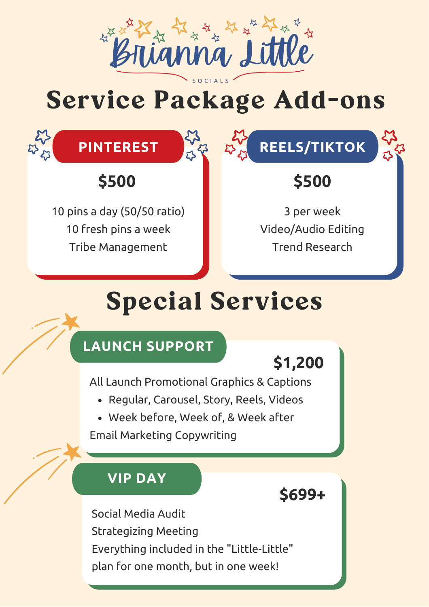

# Service Package Add-ons



### **\$500**

10 pins a day (50/50 ratio) 10 fresh pins a week Tribe Management

## **\$500**

3 per week Video/Audio Editing Trend Research

# Special Services

#### **LAUNCH SUPPORT**

## **\$1,200**

All Launch Promotional Graphics & Captions

- Regular, Carousel, Story, Reels, Videos
- Week before, Week of, & Week after

Email Marketing Copywriting

#### **VIP DAY**

#### **\$699+**

Social Media Audit Strategizing Meeting Everything included in the "Little-Little" plan for one month, but in one week!